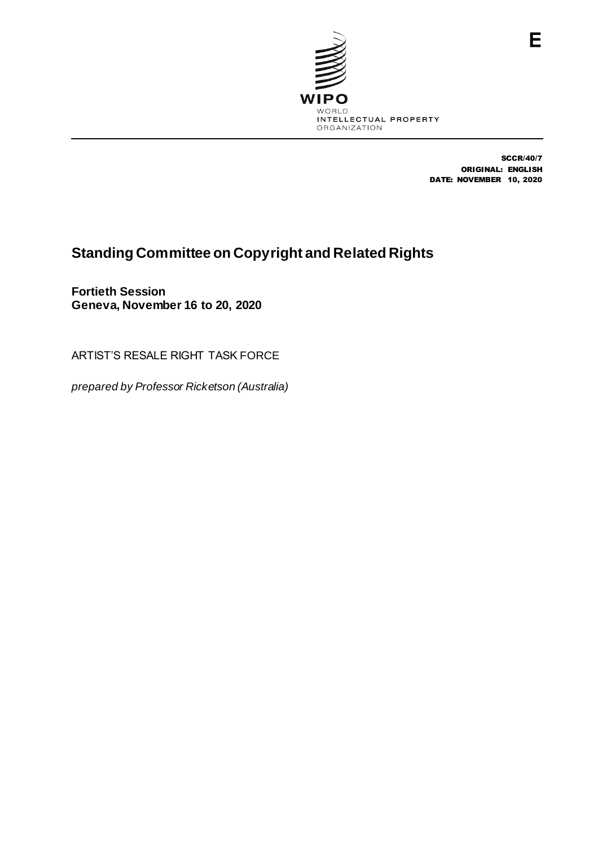

SCCR/40/7 ORIGINAL: ENGLISH DATE: NOVEMBER 10, 2020

# **Standing Committee on Copyright and Related Rights**

**Fortieth Session Geneva, November 16 to 20, 2020**

ARTIST'S RESALE RIGHT TASK FORCE

*prepared by Professor Ricketson (Australia)*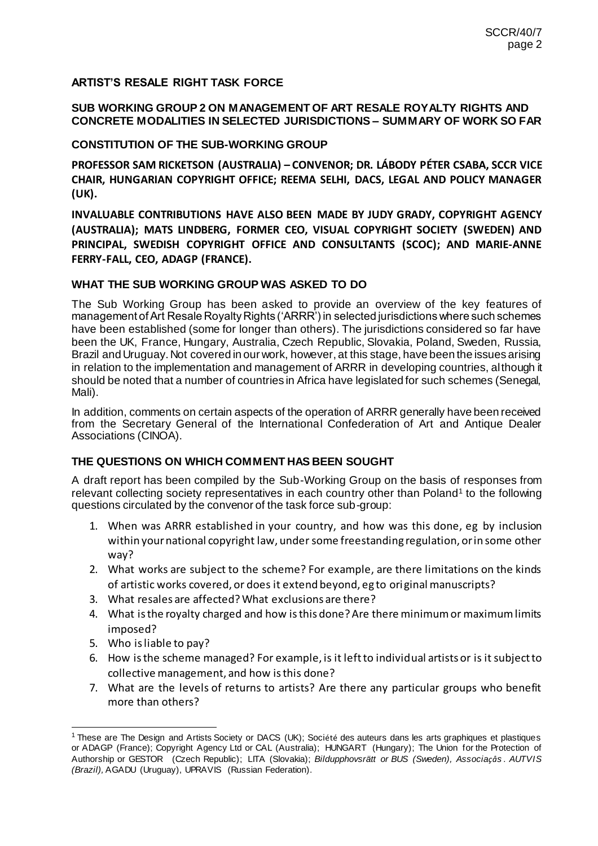# **ARTIST'S RESALE RIGHT TASK FORCE**

#### **SUB WORKING GROUP 2 ON MANAGEMENT OF ART RESALE ROYALTY RIGHTS AND CONCRETE MODALITIES IN SELECTED JURISDICTIONS – SUMMARY OF WORK SO FAR**

#### **CONSTITUTION OF THE SUB-WORKING GROUP**

**PROFESSOR SAM RICKETSON (AUSTRALIA) – CONVENOR; DR. LÁBODY PÉTER CSABA, SCCR VICE CHAIR, HUNGARIAN COPYRIGHT OFFICE; REEMA SELHI, DACS, LEGAL AND POLICY MANAGER (UK).**

**INVALUABLE CONTRIBUTIONS HAVE ALSO BEEN MADE BY JUDY GRADY, COPYRIGHT AGENCY (AUSTRALIA); MATS LINDBERG, FORMER CEO, VISUAL COPYRIGHT SOCIETY (SWEDEN) AND PRINCIPAL, SWEDISH COPYRIGHT OFFICE AND CONSULTANTS (SCOC); AND MARIE-ANNE FERRY-FALL, CEO, ADAGP (FRANCE).**

#### **WHAT THE SUB WORKING GROUP WAS ASKED TO DO**

The Sub Working Group has been asked to provide an overview of the key features of management of Art Resale Royalty Rights ('ARRR') in selected jurisdictions where such schemes have been established (some for longer than others). The jurisdictions considered so far have been the UK, France, Hungary, Australia, Czech Republic, Slovakia, Poland, Sweden, Russia, Brazil and Uruguay. Not covered in our work, however, at this stage, have been the issues arising in relation to the implementation and management of ARRR in developing countries, although it should be noted that a number of countries in Africa have legislated for such schemes (Senegal, Mali).

In addition, comments on certain aspects of the operation of ARRR generally have been received from the Secretary General of the International Confederation of Art and Antique Dealer Associations (CINOA).

#### **THE QUESTIONS ON WHICH COMMENT HAS BEEN SOUGHT**

A draft report has been compiled by the Sub-Working Group on the basis of responses from relevant collecting society representatives in each country other than Poland<sup>1</sup> to the following questions circulated by the convenor of the task force sub-group:

- 1. When was ARRR established in your country, and how was this done, eg by inclusion within your national copyright law, under some freestanding regulation, or in some other way?
- 2. What works are subject to the scheme? For example, are there limitations on the kinds of artistic works covered, or does it extend beyond, eg to original manuscripts?
- 3. What resales are affected? What exclusions are there?
- 4. What is the royalty charged and how is this done? Are there minimum or maximum limits imposed?
- 5. Who is liable to pay?
- 6. How is the scheme managed? For example, is it left to individual artists or is it subject to collective management, and how is this done?
- 7. What are the levels of returns to artists? Are there any particular groups who benefit more than others?

<sup>-</sup><sup>1</sup> These are The Design and Artists Society or DACS (UK); Société des auteurs dans les arts graphiques et plastiques or ADAGP (France); Copyright Agency Ltd or CAL (Australia); HUNGART (Hungary); The Union for the Protection of Authorship or GESTOR (Czech Republic); LITA (Slovakia); *Bildupphovsrätt or BUS (Sweden), Associaçås . AUTVIS (Brazil),* AGADU (Uruguay), UPRAVIS (Russian Federation).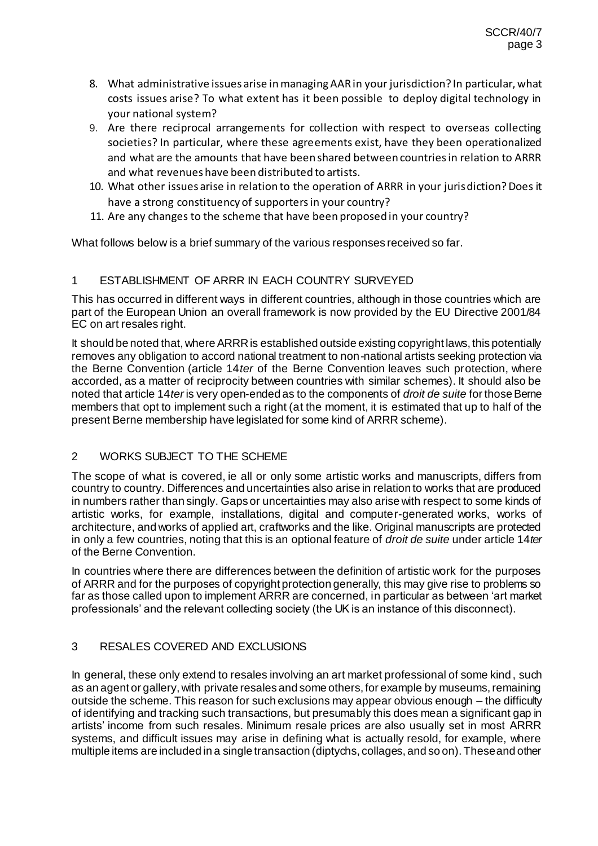- 8. What administrative issues arise in managing AAR in your jurisdiction? In particular, what costs issues arise? To what extent has it been possible to deploy digital technology in your national system?
- 9. Are there reciprocal arrangements for collection with respect to overseas collecting societies? In particular, where these agreements exist, have they been operationalized and what are the amounts that have been shared between countries in relation to ARRR and what revenues have been distributed to artists.
- 10. What other issues arise in relation to the operation of ARRR in your jurisdiction? Does it have a strong constituency of supporters in your country?
- 11. Are any changes to the scheme that have been proposed in your country?

What follows below is a brief summary of the various responses received so far.

# 1 ESTABLISHMENT OF ARRR IN EACH COUNTRY SURVEYED

This has occurred in different ways in different countries, although in those countries which are part of the European Union an overall framework is now provided by the EU Directive 2001/84 EC on art resales right.

It should be noted that, where ARRR is established outside existing copyright laws, this potentially removes any obligation to accord national treatment to non-national artists seeking protection via the Berne Convention (article 14*ter* of the Berne Convention leaves such protection, where accorded, as a matter of reciprocity between countries with similar schemes). It should also be noted that article 14*ter* is very open-ended as to the components of *droit de suite* for those Berne members that opt to implement such a right (at the moment, it is estimated that up to half of the present Berne membership have legislated for some kind of ARRR scheme).

#### 2 WORKS SUBJECT TO THE SCHEME

The scope of what is covered, ie all or only some artistic works and manuscripts, differs from country to country. Differences and uncertainties also arise in relation to works that are produced in numbers rather than singly. Gaps or uncertainties may also arise with respect to some kinds of artistic works, for example, installations, digital and computer-generated works, works of architecture, and works of applied art, craftworks and the like. Original manuscripts are protected in only a few countries, noting that this is an optional feature of *droit de suite* under article 14*ter*  of the Berne Convention.

In countries where there are differences between the definition of artistic work for the purposes of ARRR and for the purposes of copyright protection generally, this may give rise to problems so far as those called upon to implement ARRR are concerned, in particular as between 'art market professionals' and the relevant collecting society (the UK is an instance of this disconnect).

# 3 RESALES COVERED AND EXCLUSIONS

In general, these only extend to resales involving an art market professional of some kind, such as an agent or gallery, with private resales and some others, for example by museums, remaining outside the scheme. This reason for such exclusions may appear obvious enough – the difficulty of identifying and tracking such transactions, but presumably this does mean a significant gap in artists' income from such resales. Minimum resale prices are also usually set in most ARRR systems, and difficult issues may arise in defining what is actually resold, for example, where multiple items are included in a single transaction (diptychs, collages, and so on). These and other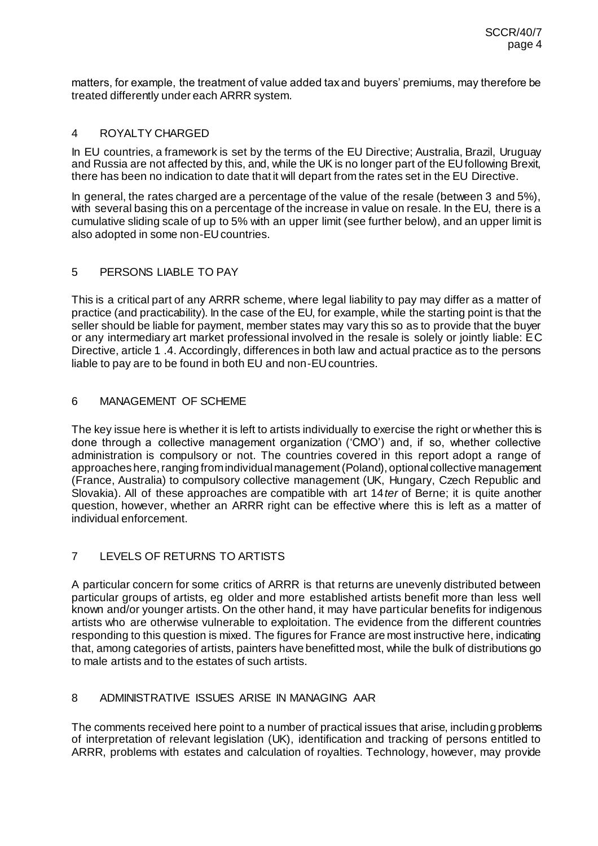matters, for example, the treatment of value added tax and buyers' premiums, may therefore be treated differently under each ARRR system.

#### 4 ROYALTY CHARGED

In EU countries, a framework is set by the terms of the EU Directive; Australia, Brazil, Uruguay and Russia are not affected by this, and, while the UK is no longer part of the EU following Brexit, there has been no indication to date that it will depart from the rates set in the EU Directive.

In general, the rates charged are a percentage of the value of the resale (between 3 and 5%), with several basing this on a percentage of the increase in value on resale. In the EU, there is a cumulative sliding scale of up to 5% with an upper limit (see further below), and an upper limit is also adopted in some non-EU countries.

# 5 PERSONS LIABLE TO PAY

This is a critical part of any ARRR scheme, where legal liability to pay may differ as a matter of practice (and practicability). In the case of the EU, for example, while the starting point is that the seller should be liable for payment, member states may vary this so as to provide that the buyer or any intermediary art market professional involved in the resale is solely or jointly liable: EC Directive, article 1 .4. Accordingly, differences in both law and actual practice as to the persons liable to pay are to be found in both EU and non-EU countries.

# 6 MANAGEMENT OF SCHEME

The key issue here is whether it is left to artists individually to exercise the right or whether this is done through a collective management organization ('CMO') and, if so, whether collective administration is compulsory or not. The countries covered in this report adopt a range of approaches here, ranging from individual management (Poland), optional collective management (France, Australia) to compulsory collective management (UK, Hungary, Czech Republic and Slovakia). All of these approaches are compatible with art 14*ter* of Berne; it is quite another question, however, whether an ARRR right can be effective where this is left as a matter of individual enforcement.

# 7 LEVELS OF RETURNS TO ARTISTS

A particular concern for some critics of ARRR is that returns are unevenly distributed between particular groups of artists, eg older and more established artists benefit more than less well known and/or younger artists. On the other hand, it may have particular benefits for indigenous artists who are otherwise vulnerable to exploitation. The evidence from the different countries responding to this question is mixed. The figures for France are most instructive here, indicating that, among categories of artists, painters have benefitted most, while the bulk of distributions go to male artists and to the estates of such artists.

## 8 ADMINISTRATIVE ISSUES ARISE IN MANAGING AAR

The comments received here point to a number of practical issues that arise, including problems of interpretation of relevant legislation (UK), identification and tracking of persons entitled to ARRR, problems with estates and calculation of royalties. Technology, however, may provide